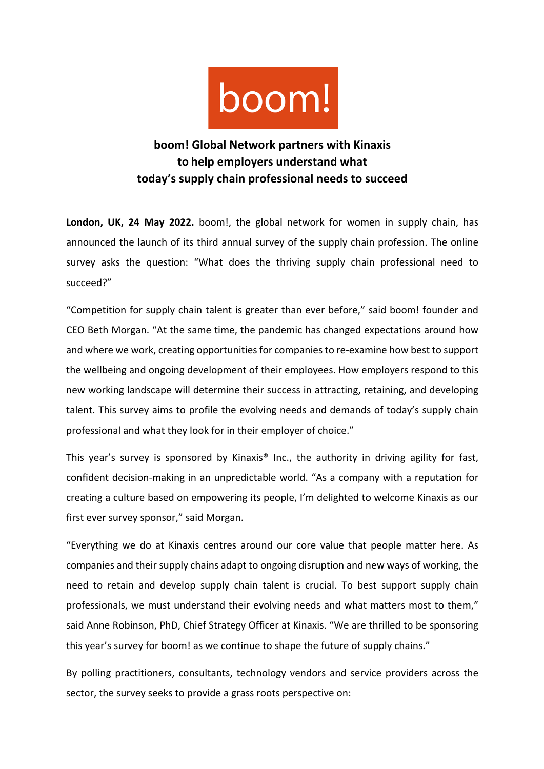

## **boom! Global Network partners with Kinaxis to help employers understand what today's supply chain professional needs to succeed**

**London, UK, 24 May 2022.** boom!, the global network for women in supply chain, has announced the launch of its third annual survey of the supply chain profession. The online survey asks the question: "What does the thriving supply chain professional need to succeed?"

"Competition for supply chain talent is greater than ever before," said boom! founder and CEO Beth Morgan. "At the same time, the pandemic has changed expectations around how and where we work, creating opportunities for companies to re-examine how best to support the wellbeing and ongoing development of their employees. How employers respond to this new working landscape will determine their success in attracting, retaining, and developing talent. This survey aims to profile the evolving needs and demands of today's supply chain professional and what they look for in their employer of choice."

This year's survey is sponsored by Kinaxis® Inc., the authority in driving agility for fast, confident decision-making in an unpredictable world. "As a company with a reputation for creating a culture based on empowering its people, I'm delighted to welcome Kinaxis as our first ever survey sponsor," said Morgan.

"Everything we do at Kinaxis centres around our core value that people matter here. As companies and their supply chains adapt to ongoing disruption and new ways of working, the need to retain and develop supply chain talent is crucial. To best support supply chain professionals, we must understand their evolving needs and what matters most to them," said Anne Robinson, PhD, Chief Strategy Officer at Kinaxis. "We are thrilled to be sponsoring this year's survey for boom! as we continue to shape the future of supply chains."

By polling practitioners, consultants, technology vendors and service providers across the sector, the survey seeks to provide a grass roots perspective on: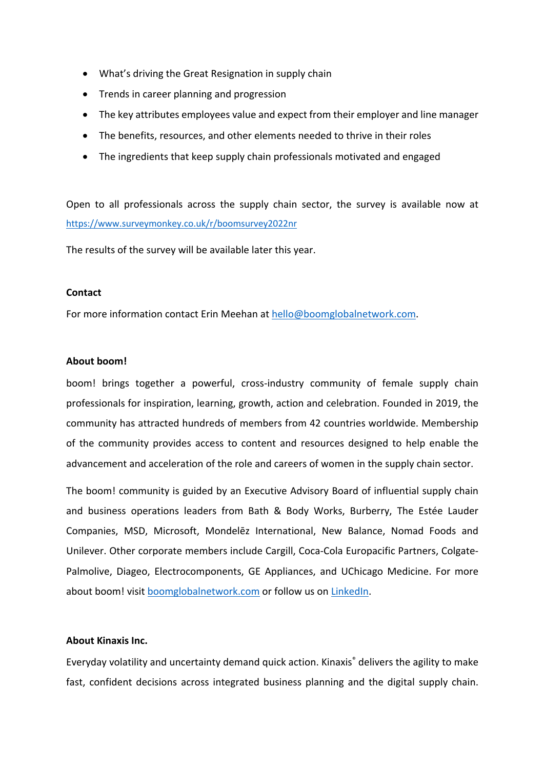- What's driving the Great Resignation in supply chain
- Trends in career planning and progression
- The key attributes employees value and expect from their employer and line manager
- The benefits, resources, and other elements needed to thrive in their roles
- The ingredients that keep supply chain professionals motivated and engaged

Open to all professionals across the supply chain sector, the survey is available now at https://www.surveymonkey.co.uk/r/boomsurvey2022nr

The results of the survey will be available later this year.

## **Contact**

For more information contact Erin Meehan at hello@boomglobalnetwork.com.

## **About boom!**

boom! brings together a powerful, cross-industry community of female supply chain professionals for inspiration, learning, growth, action and celebration. Founded in 2019, the community has attracted hundreds of members from 42 countries worldwide. Membership of the community provides access to content and resources designed to help enable the advancement and acceleration of the role and careers of women in the supply chain sector.

The boom! community is guided by an Executive Advisory Board of influential supply chain and business operations leaders from Bath & Body Works, Burberry, The Estée Lauder Companies, MSD, Microsoft, Mondelēz International, New Balance, Nomad Foods and Unilever. Other corporate members include Cargill, Coca-Cola Europacific Partners, Colgate-Palmolive, Diageo, Electrocomponents, GE Appliances, and UChicago Medicine. For more about boom! visit boomglobalnetwork.com or follow us on LinkedIn.

## **About Kinaxis Inc.**

Everyday volatility and uncertainty demand quick action. Kinaxis® delivers the agility to make fast, confident decisions across integrated business planning and the digital supply chain.